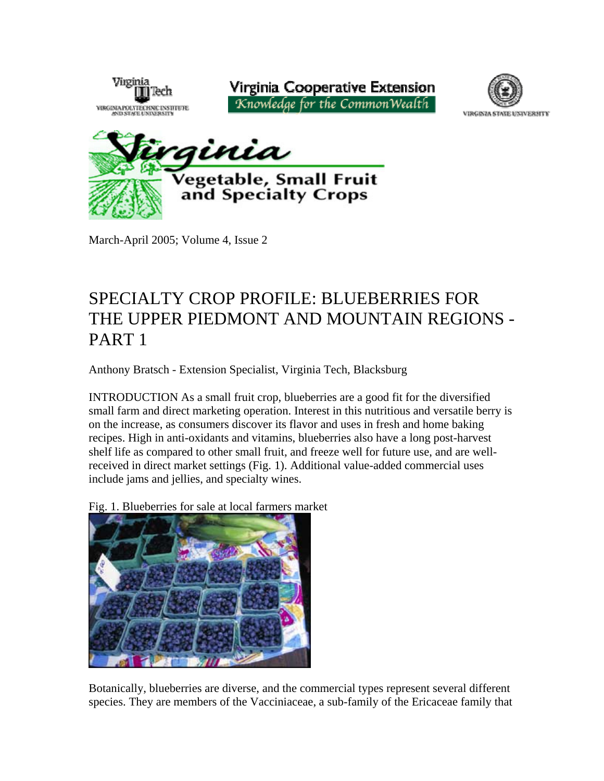

March-April 2005; Volume 4, Issue 2

# SPECIALTY CROP PROFILE: BLUEBERRIES FOR THE UPPER PIEDMONT AND MOUNTAIN REGIONS - PART 1

Anthony Bratsch - Extension Specialist, Virginia Tech, Blacksburg

INTRODUCTION As a small fruit crop, blueberries are a good fit for the diversified small farm and direct marketing operation. Interest in this nutritious and versatile berry is on the increase, as consumers discover its flavor and uses in fresh and home baking recipes. High in anti-oxidants and vitamins, blueberries also have a long post-harvest shelf life as compared to other small fruit, and freeze well for future use, and are wellreceived in direct market settings (Fig. 1). Additional value-added commercial uses include jams and jellies, and specialty wines.

Fig. 1. Blueberries for sale at local farmers market



Botanically, blueberries are diverse, and the commercial types represent several different species. They are members of the Vacciniaceae, a sub-family of the Ericaceae family that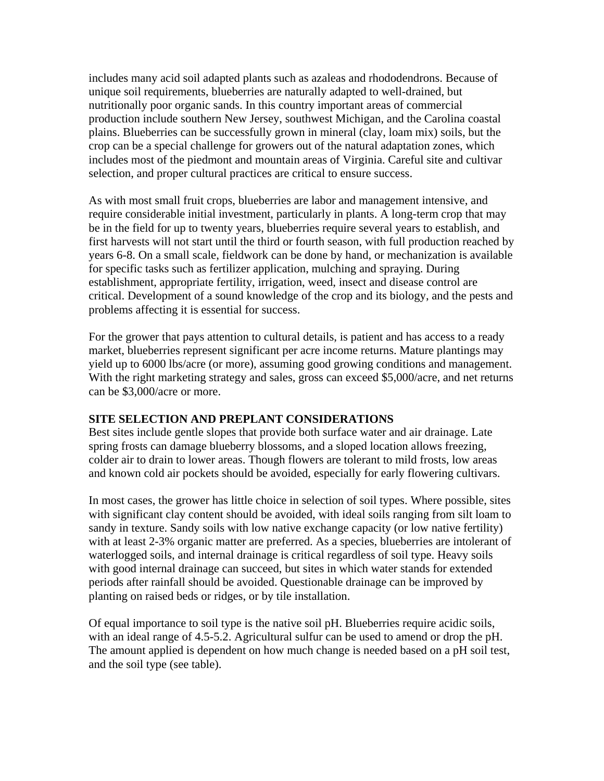includes many acid soil adapted plants such as azaleas and rhododendrons. Because of unique soil requirements, blueberries are naturally adapted to well-drained, but nutritionally poor organic sands. In this country important areas of commercial production include southern New Jersey, southwest Michigan, and the Carolina coastal plains. Blueberries can be successfully grown in mineral (clay, loam mix) soils, but the crop can be a special challenge for growers out of the natural adaptation zones, which includes most of the piedmont and mountain areas of Virginia. Careful site and cultivar selection, and proper cultural practices are critical to ensure success.

As with most small fruit crops, blueberries are labor and management intensive, and require considerable initial investment, particularly in plants. A long-term crop that may be in the field for up to twenty years, blueberries require several years to establish, and first harvests will not start until the third or fourth season, with full production reached by years 6-8. On a small scale, fieldwork can be done by hand, or mechanization is available for specific tasks such as fertilizer application, mulching and spraying. During establishment, appropriate fertility, irrigation, weed, insect and disease control are critical. Development of a sound knowledge of the crop and its biology, and the pests and problems affecting it is essential for success.

For the grower that pays attention to cultural details, is patient and has access to a ready market, blueberries represent significant per acre income returns. Mature plantings may yield up to 6000 lbs/acre (or more), assuming good growing conditions and management. With the right marketing strategy and sales, gross can exceed \$5,000/acre, and net returns can be \$3,000/acre or more.

#### **SITE SELECTION AND PREPLANT CONSIDERATIONS**

Best sites include gentle slopes that provide both surface water and air drainage. Late spring frosts can damage blueberry blossoms, and a sloped location allows freezing, colder air to drain to lower areas. Though flowers are tolerant to mild frosts, low areas and known cold air pockets should be avoided, especially for early flowering cultivars.

In most cases, the grower has little choice in selection of soil types. Where possible, sites with significant clay content should be avoided, with ideal soils ranging from silt loam to sandy in texture. Sandy soils with low native exchange capacity (or low native fertility) with at least 2-3% organic matter are preferred. As a species, blueberries are intolerant of waterlogged soils, and internal drainage is critical regardless of soil type. Heavy soils with good internal drainage can succeed, but sites in which water stands for extended periods after rainfall should be avoided. Questionable drainage can be improved by planting on raised beds or ridges, or by tile installation.

Of equal importance to soil type is the native soil pH. Blueberries require acidic soils, with an ideal range of 4.5-5.2. Agricultural sulfur can be used to amend or drop the pH. The amount applied is dependent on how much change is needed based on a pH soil test, and the soil type (see table).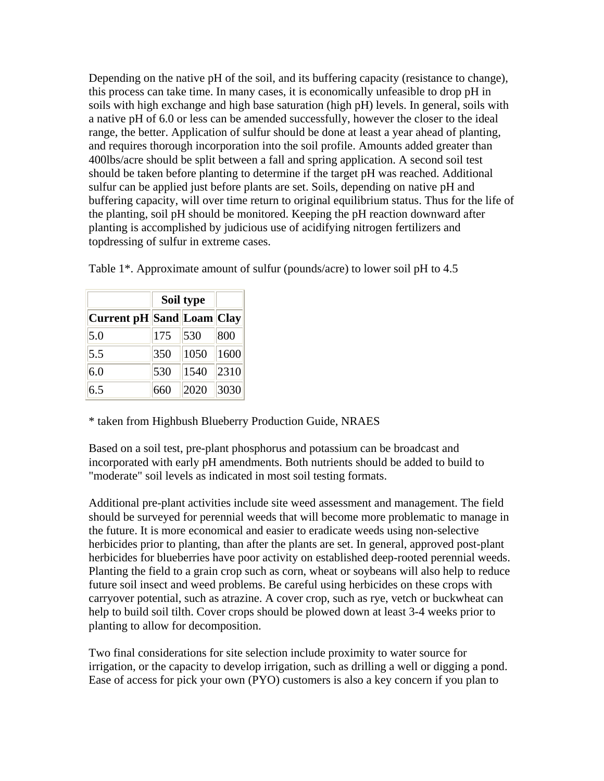Depending on the native pH of the soil, and its buffering capacity (resistance to change), this process can take time. In many cases, it is economically unfeasible to drop pH in soils with high exchange and high base saturation (high pH) levels. In general, soils with a native pH of 6.0 or less can be amended successfully, however the closer to the ideal range, the better. Application of sulfur should be done at least a year ahead of planting, and requires thorough incorporation into the soil profile. Amounts added greater than 400lbs/acre should be split between a fall and spring application. A second soil test should be taken before planting to determine if the target pH was reached. Additional sulfur can be applied just before plants are set. Soils, depending on native pH and buffering capacity, will over time return to original equilibrium status. Thus for the life of the planting, soil pH should be monitored. Keeping the pH reaction downward after planting is accomplished by judicious use of acidifying nitrogen fertilizers and topdressing of sulfur in extreme cases.

|                                  | Soil type |      |      |
|----------------------------------|-----------|------|------|
| <b>Current pH Sand Loam Clay</b> |           |      |      |
| 5.0                              | 175       | 530  | 800  |
| 5.5                              | 350       | 1050 | 1600 |
| 6.0                              | 530       | 1540 | 2310 |
| 6.5                              | 660       | 2020 | 3030 |

Table 1\*. Approximate amount of sulfur (pounds/acre) to lower soil pH to 4.5

\* taken from Highbush Blueberry Production Guide, NRAES

Based on a soil test, pre-plant phosphorus and potassium can be broadcast and incorporated with early pH amendments. Both nutrients should be added to build to "moderate" soil levels as indicated in most soil testing formats.

Additional pre-plant activities include site weed assessment and management. The field should be surveyed for perennial weeds that will become more problematic to manage in the future. It is more economical and easier to eradicate weeds using non-selective herbicides prior to planting, than after the plants are set. In general, approved post-plant herbicides for blueberries have poor activity on established deep-rooted perennial weeds. Planting the field to a grain crop such as corn, wheat or soybeans will also help to reduce future soil insect and weed problems. Be careful using herbicides on these crops with carryover potential, such as atrazine. A cover crop, such as rye, vetch or buckwheat can help to build soil tilth. Cover crops should be plowed down at least 3-4 weeks prior to planting to allow for decomposition.

Two final considerations for site selection include proximity to water source for irrigation, or the capacity to develop irrigation, such as drilling a well or digging a pond. Ease of access for pick your own (PYO) customers is also a key concern if you plan to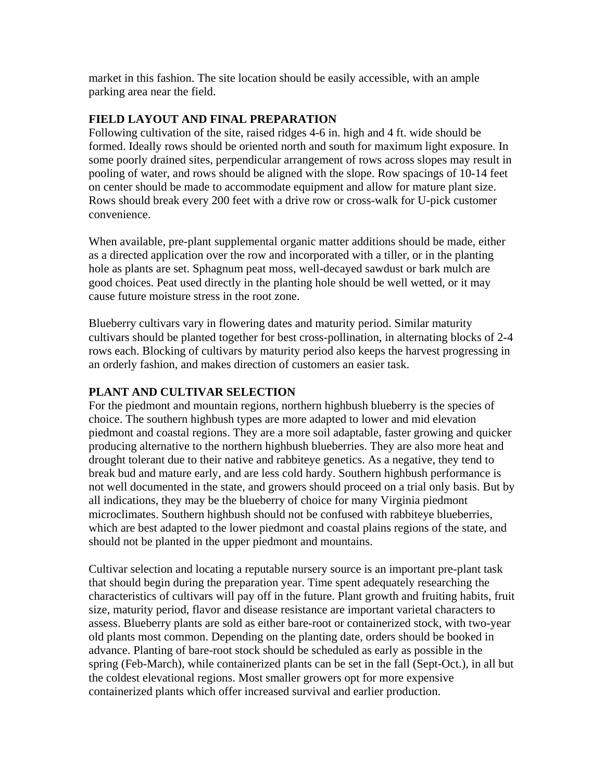market in this fashion. The site location should be easily accessible, with an ample parking area near the field.

#### **FIELD LAYOUT AND FINAL PREPARATION**

Following cultivation of the site, raised ridges 4-6 in. high and 4 ft. wide should be formed. Ideally rows should be oriented north and south for maximum light exposure. In some poorly drained sites, perpendicular arrangement of rows across slopes may result in pooling of water, and rows should be aligned with the slope. Row spacings of 10-14 feet on center should be made to accommodate equipment and allow for mature plant size. Rows should break every 200 feet with a drive row or cross-walk for U-pick customer convenience.

When available, pre-plant supplemental organic matter additions should be made, either as a directed application over the row and incorporated with a tiller, or in the planting hole as plants are set. Sphagnum peat moss, well-decayed sawdust or bark mulch are good choices. Peat used directly in the planting hole should be well wetted, or it may cause future moisture stress in the root zone.

Blueberry cultivars vary in flowering dates and maturity period. Similar maturity cultivars should be planted together for best cross-pollination, in alternating blocks of 2-4 rows each. Blocking of cultivars by maturity period also keeps the harvest progressing in an orderly fashion, and makes direction of customers an easier task.

## **PLANT AND CULTIVAR SELECTION**

For the piedmont and mountain regions, northern highbush blueberry is the species of choice. The southern highbush types are more adapted to lower and mid elevation piedmont and coastal regions. They are a more soil adaptable, faster growing and quicker producing alternative to the northern highbush blueberries. They are also more heat and drought tolerant due to their native and rabbiteye genetics. As a negative, they tend to break bud and mature early, and are less cold hardy. Southern highbush performance is not well documented in the state, and growers should proceed on a trial only basis. But by all indications, they may be the blueberry of choice for many Virginia piedmont microclimates. Southern highbush should not be confused with rabbiteye blueberries, which are best adapted to the lower piedmont and coastal plains regions of the state, and should not be planted in the upper piedmont and mountains.

Cultivar selection and locating a reputable nursery source is an important pre-plant task that should begin during the preparation year. Time spent adequately researching the characteristics of cultivars will pay off in the future. Plant growth and fruiting habits, fruit size, maturity period, flavor and disease resistance are important varietal characters to assess. Blueberry plants are sold as either bare-root or containerized stock, with two-year old plants most common. Depending on the planting date, orders should be booked in advance. Planting of bare-root stock should be scheduled as early as possible in the spring (Feb-March), while containerized plants can be set in the fall (Sept-Oct.), in all but the coldest elevational regions. Most smaller growers opt for more expensive containerized plants which offer increased survival and earlier production.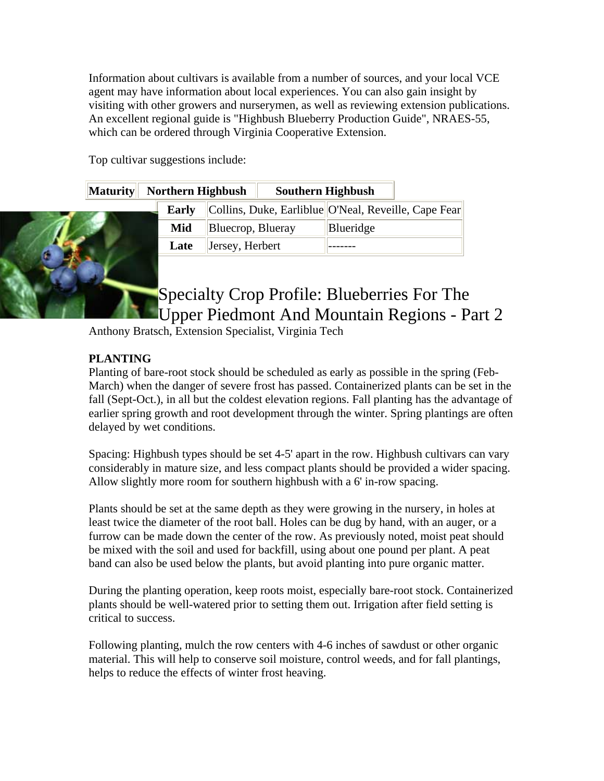Information about cultivars is available from a number of sources, and your local VCE agent may have information about local experiences. You can also gain insight by visiting with other growers and nurserymen, as well as reviewing extension publications. An excellent regional guide is "Highbush Blueberry Production Guide", NRAES-55, which can be ordered through Virginia Cooperative Extension.

Top cultivar suggestions include:

|  | Maturity Northern Highbush |                   | <b>Southern Highbush</b> |           |                                                                   |
|--|----------------------------|-------------------|--------------------------|-----------|-------------------------------------------------------------------|
|  |                            |                   |                          |           | <b>Early</b> Collins, Duke, Earliblue O'Neal, Reveille, Cape Fear |
|  | Mid                        | Bluecrop, Blueray |                          | Blueridge |                                                                   |
|  | Late                       | Jersey, Herbert   |                          |           |                                                                   |

# Specialty Crop Profile: Blueberries For The Upper Piedmont And Mountain Regions - Part 2

Anthony Bratsch, Extension Specialist, Virginia Tech

# **PLANTING**

Planting of bare-root stock should be scheduled as early as possible in the spring (Feb-March) when the danger of severe frost has passed. Containerized plants can be set in the fall (Sept-Oct.), in all but the coldest elevation regions. Fall planting has the advantage of earlier spring growth and root development through the winter. Spring plantings are often delayed by wet conditions.

Spacing: Highbush types should be set 4-5' apart in the row. Highbush cultivars can vary considerably in mature size, and less compact plants should be provided a wider spacing. Allow slightly more room for southern highbush with a 6' in-row spacing.

Plants should be set at the same depth as they were growing in the nursery, in holes at least twice the diameter of the root ball. Holes can be dug by hand, with an auger, or a furrow can be made down the center of the row. As previously noted, moist peat should be mixed with the soil and used for backfill, using about one pound per plant. A peat band can also be used below the plants, but avoid planting into pure organic matter.

During the planting operation, keep roots moist, especially bare-root stock. Containerized plants should be well-watered prior to setting them out. Irrigation after field setting is critical to success.

Following planting, mulch the row centers with 4-6 inches of sawdust or other organic material. This will help to conserve soil moisture, control weeds, and for fall plantings, helps to reduce the effects of winter frost heaving.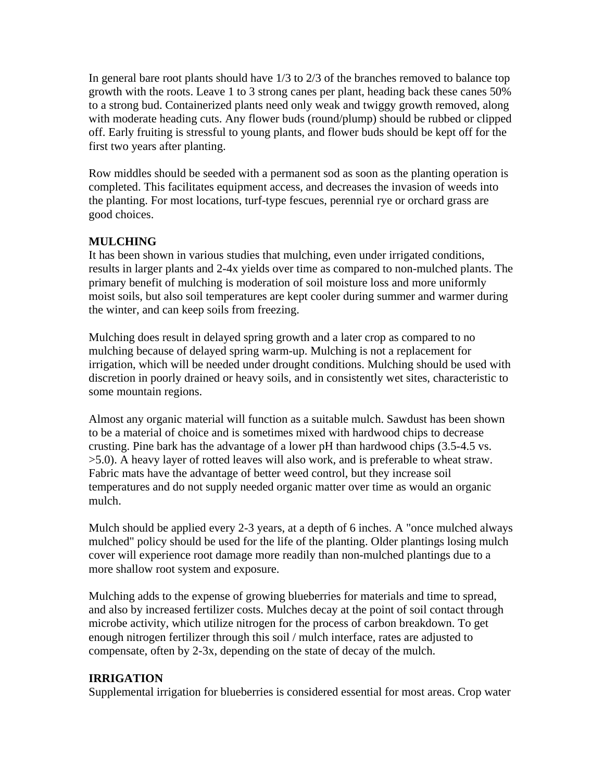In general bare root plants should have 1/3 to 2/3 of the branches removed to balance top growth with the roots. Leave 1 to 3 strong canes per plant, heading back these canes 50% to a strong bud. Containerized plants need only weak and twiggy growth removed, along with moderate heading cuts. Any flower buds (round/plump) should be rubbed or clipped off. Early fruiting is stressful to young plants, and flower buds should be kept off for the first two years after planting.

Row middles should be seeded with a permanent sod as soon as the planting operation is completed. This facilitates equipment access, and decreases the invasion of weeds into the planting. For most locations, turf-type fescues, perennial rye or orchard grass are good choices.

## **MULCHING**

It has been shown in various studies that mulching, even under irrigated conditions, results in larger plants and 2-4x yields over time as compared to non-mulched plants. The primary benefit of mulching is moderation of soil moisture loss and more uniformly moist soils, but also soil temperatures are kept cooler during summer and warmer during the winter, and can keep soils from freezing.

Mulching does result in delayed spring growth and a later crop as compared to no mulching because of delayed spring warm-up. Mulching is not a replacement for irrigation, which will be needed under drought conditions. Mulching should be used with discretion in poorly drained or heavy soils, and in consistently wet sites, characteristic to some mountain regions.

Almost any organic material will function as a suitable mulch. Sawdust has been shown to be a material of choice and is sometimes mixed with hardwood chips to decrease crusting. Pine bark has the advantage of a lower pH than hardwood chips (3.5-4.5 vs. >5.0). A heavy layer of rotted leaves will also work, and is preferable to wheat straw. Fabric mats have the advantage of better weed control, but they increase soil temperatures and do not supply needed organic matter over time as would an organic mulch.

Mulch should be applied every 2-3 years, at a depth of 6 inches. A "once mulched always mulched" policy should be used for the life of the planting. Older plantings losing mulch cover will experience root damage more readily than non-mulched plantings due to a more shallow root system and exposure.

Mulching adds to the expense of growing blueberries for materials and time to spread, and also by increased fertilizer costs. Mulches decay at the point of soil contact through microbe activity, which utilize nitrogen for the process of carbon breakdown. To get enough nitrogen fertilizer through this soil / mulch interface, rates are adjusted to compensate, often by 2-3x, depending on the state of decay of the mulch.

## **IRRIGATION**

Supplemental irrigation for blueberries is considered essential for most areas. Crop water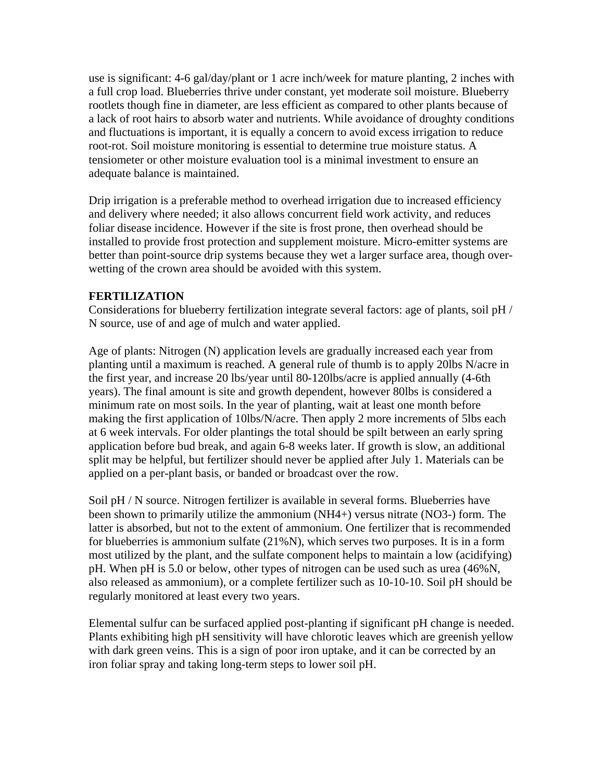use is significant: 4-6 gal/day/plant or 1 acre inch/week for mature planting, 2 inches with a full crop load. Blueberries thrive under constant, yet moderate soil moisture. Blueberry rootlets though fine in diameter, are less efficient as compared to other plants because of a lack of root hairs to absorb water and nutrients. While avoidance of droughty conditions and fluctuations is important, it is equally a concern to avoid excess irrigation to reduce root-rot. Soil moisture monitoring is essential to determine true moisture status. A tensiometer or other moisture evaluation tool is a minimal investment to ensure an adequate balance is maintained.

Drip irrigation is a preferable method to overhead irrigation due to increased efficiency and delivery where needed; it also allows concurrent field work activity, and reduces foliar disease incidence. However if the site is frost prone, then overhead should be installed to provide frost protection and supplement moisture. Micro-emitter systems are better than point-source drip systems because they wet a larger surface area, though overwetting of the crown area should be avoided with this system.

#### **FERTILIZATION**

Considerations for blueberry fertilization integrate several factors: age of plants, soil pH / N source, use of and age of mulch and water applied.

Age of plants: Nitrogen (N) application levels are gradually increased each year from planting until a maximum is reached. A general rule of thumb is to apply 20lbs N/acre in the first year, and increase 20 lbs/year until 80-120lbs/acre is applied annually (4-6th years). The final amount is site and growth dependent, however 80lbs is considered a minimum rate on most soils. In the year of planting, wait at least one month before making the first application of 10lbs/N/acre. Then apply 2 more increments of 5lbs each at 6 week intervals. For older plantings the total should be spilt between an early spring application before bud break, and again 6-8 weeks later. If growth is slow, an additional split may be helpful, but fertilizer should never be applied after July 1. Materials can be applied on a per-plant basis, or banded or broadcast over the row.

Soil pH / N source. Nitrogen fertilizer is available in several forms. Blueberries have been shown to primarily utilize the ammonium (NH4+) versus nitrate (NO3-) form. The latter is absorbed, but not to the extent of ammonium. One fertilizer that is recommended for blueberries is ammonium sulfate (21%N), which serves two purposes. It is in a form most utilized by the plant, and the sulfate component helps to maintain a low (acidifying) pH. When pH is 5.0 or below, other types of nitrogen can be used such as urea (46%N, also released as ammonium), or a complete fertilizer such as 10-10-10. Soil pH should be regularly monitored at least every two years.

Elemental sulfur can be surfaced applied post-planting if significant pH change is needed. Plants exhibiting high pH sensitivity will have chlorotic leaves which are greenish yellow with dark green veins. This is a sign of poor iron uptake, and it can be corrected by an iron foliar spray and taking long-term steps to lower soil pH.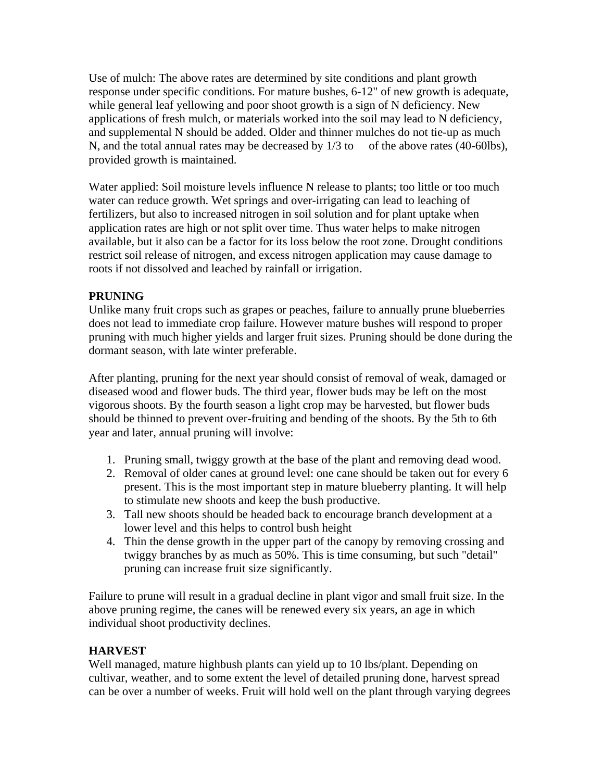Use of mulch: The above rates are determined by site conditions and plant growth response under specific conditions. For mature bushes, 6-12" of new growth is adequate, while general leaf yellowing and poor shoot growth is a sign of N deficiency. New applications of fresh mulch, or materials worked into the soil may lead to N deficiency, and supplemental N should be added. Older and thinner mulches do not tie-up as much N, and the total annual rates may be decreased by  $1/3$  to of the above rates (40-60lbs), provided growth is maintained.

Water applied: Soil moisture levels influence N release to plants; too little or too much water can reduce growth. Wet springs and over-irrigating can lead to leaching of fertilizers, but also to increased nitrogen in soil solution and for plant uptake when application rates are high or not split over time. Thus water helps to make nitrogen available, but it also can be a factor for its loss below the root zone. Drought conditions restrict soil release of nitrogen, and excess nitrogen application may cause damage to roots if not dissolved and leached by rainfall or irrigation.

## **PRUNING**

Unlike many fruit crops such as grapes or peaches, failure to annually prune blueberries does not lead to immediate crop failure. However mature bushes will respond to proper pruning with much higher yields and larger fruit sizes. Pruning should be done during the dormant season, with late winter preferable.

After planting, pruning for the next year should consist of removal of weak, damaged or diseased wood and flower buds. The third year, flower buds may be left on the most vigorous shoots. By the fourth season a light crop may be harvested, but flower buds should be thinned to prevent over-fruiting and bending of the shoots. By the 5th to 6th year and later, annual pruning will involve:

- 1. Pruning small, twiggy growth at the base of the plant and removing dead wood.
- 2. Removal of older canes at ground level: one cane should be taken out for every 6 present. This is the most important step in mature blueberry planting. It will help to stimulate new shoots and keep the bush productive.
- 3. Tall new shoots should be headed back to encourage branch development at a lower level and this helps to control bush height
- 4. Thin the dense growth in the upper part of the canopy by removing crossing and twiggy branches by as much as 50%. This is time consuming, but such "detail" pruning can increase fruit size significantly.

Failure to prune will result in a gradual decline in plant vigor and small fruit size. In the above pruning regime, the canes will be renewed every six years, an age in which individual shoot productivity declines.

## **HARVEST**

Well managed, mature highbush plants can yield up to 10 lbs/plant. Depending on cultivar, weather, and to some extent the level of detailed pruning done, harvest spread can be over a number of weeks. Fruit will hold well on the plant through varying degrees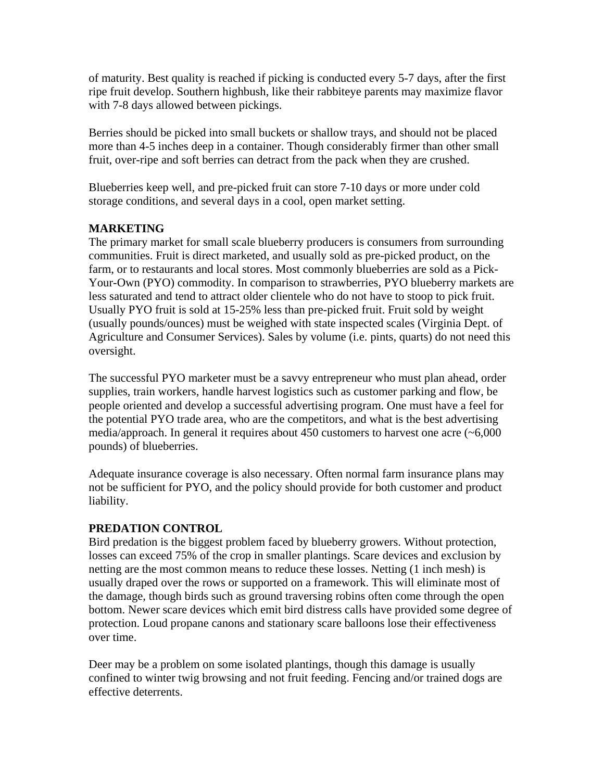of maturity. Best quality is reached if picking is conducted every 5-7 days, after the first ripe fruit develop. Southern highbush, like their rabbiteye parents may maximize flavor with 7-8 days allowed between pickings.

Berries should be picked into small buckets or shallow trays, and should not be placed more than 4-5 inches deep in a container. Though considerably firmer than other small fruit, over-ripe and soft berries can detract from the pack when they are crushed.

Blueberries keep well, and pre-picked fruit can store 7-10 days or more under cold storage conditions, and several days in a cool, open market setting.

## **MARKETING**

The primary market for small scale blueberry producers is consumers from surrounding communities. Fruit is direct marketed, and usually sold as pre-picked product, on the farm, or to restaurants and local stores. Most commonly blueberries are sold as a Pick-Your-Own (PYO) commodity. In comparison to strawberries, PYO blueberry markets are less saturated and tend to attract older clientele who do not have to stoop to pick fruit. Usually PYO fruit is sold at 15-25% less than pre-picked fruit. Fruit sold by weight (usually pounds/ounces) must be weighed with state inspected scales (Virginia Dept. of Agriculture and Consumer Services). Sales by volume (i.e. pints, quarts) do not need this oversight.

The successful PYO marketer must be a savvy entrepreneur who must plan ahead, order supplies, train workers, handle harvest logistics such as customer parking and flow, be people oriented and develop a successful advertising program. One must have a feel for the potential PYO trade area, who are the competitors, and what is the best advertising media/approach. In general it requires about 450 customers to harvest one acre (~6,000 pounds) of blueberries.

Adequate insurance coverage is also necessary. Often normal farm insurance plans may not be sufficient for PYO, and the policy should provide for both customer and product liability.

## **PREDATION CONTROL**

Bird predation is the biggest problem faced by blueberry growers. Without protection, losses can exceed 75% of the crop in smaller plantings. Scare devices and exclusion by netting are the most common means to reduce these losses. Netting (1 inch mesh) is usually draped over the rows or supported on a framework. This will eliminate most of the damage, though birds such as ground traversing robins often come through the open bottom. Newer scare devices which emit bird distress calls have provided some degree of protection. Loud propane canons and stationary scare balloons lose their effectiveness over time.

Deer may be a problem on some isolated plantings, though this damage is usually confined to winter twig browsing and not fruit feeding. Fencing and/or trained dogs are effective deterrents.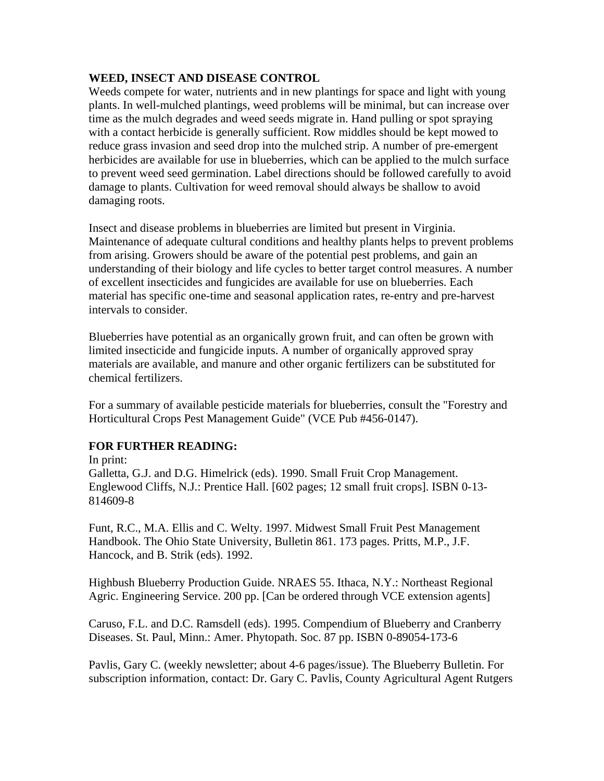#### **WEED, INSECT AND DISEASE CONTROL**

Weeds compete for water, nutrients and in new plantings for space and light with young plants. In well-mulched plantings, weed problems will be minimal, but can increase over time as the mulch degrades and weed seeds migrate in. Hand pulling or spot spraying with a contact herbicide is generally sufficient. Row middles should be kept mowed to reduce grass invasion and seed drop into the mulched strip. A number of pre-emergent herbicides are available for use in blueberries, which can be applied to the mulch surface to prevent weed seed germination. Label directions should be followed carefully to avoid damage to plants. Cultivation for weed removal should always be shallow to avoid damaging roots.

Insect and disease problems in blueberries are limited but present in Virginia. Maintenance of adequate cultural conditions and healthy plants helps to prevent problems from arising. Growers should be aware of the potential pest problems, and gain an understanding of their biology and life cycles to better target control measures. A number of excellent insecticides and fungicides are available for use on blueberries. Each material has specific one-time and seasonal application rates, re-entry and pre-harvest intervals to consider.

Blueberries have potential as an organically grown fruit, and can often be grown with limited insecticide and fungicide inputs. A number of organically approved spray materials are available, and manure and other organic fertilizers can be substituted for chemical fertilizers.

For a summary of available pesticide materials for blueberries, consult the "Forestry and Horticultural Crops Pest Management Guide" (VCE Pub #456-0147).

#### **FOR FURTHER READING:**

In print: Galletta, G.J. and D.G. Himelrick (eds). 1990. Small Fruit Crop Management. Englewood Cliffs, N.J.: Prentice Hall. [602 pages; 12 small fruit crops]. ISBN 0-13- 814609-8

Funt, R.C., M.A. Ellis and C. Welty. 1997. Midwest Small Fruit Pest Management Handbook. The Ohio State University, Bulletin 861. 173 pages. Pritts, M.P., J.F. Hancock, and B. Strik (eds). 1992.

Highbush Blueberry Production Guide. NRAES 55. Ithaca, N.Y.: Northeast Regional Agric. Engineering Service. 200 pp. [Can be ordered through VCE extension agents]

Caruso, F.L. and D.C. Ramsdell (eds). 1995. Compendium of Blueberry and Cranberry Diseases. St. Paul, Minn.: Amer. Phytopath. Soc. 87 pp. ISBN 0-89054-173-6

Pavlis, Gary C. (weekly newsletter; about 4-6 pages/issue). The Blueberry Bulletin. For subscription information, contact: Dr. Gary C. Pavlis, County Agricultural Agent Rutgers